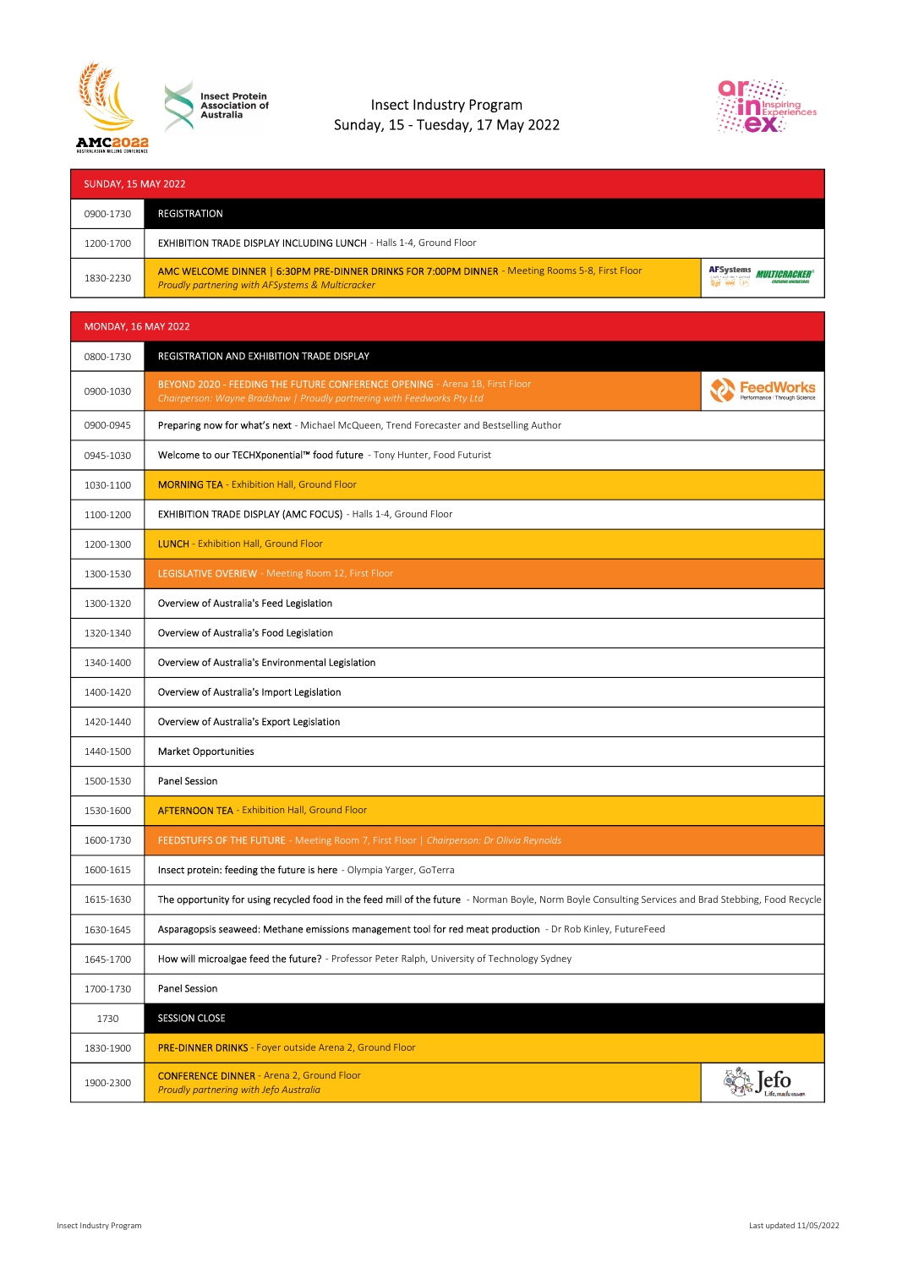

Insect Protein<br>Association of<br>Australia

## Insect Industry Program Sunday, 15 - Tuesday, 17 May 2022



| <b>SUNDAY, 15 MAY 2022</b> |                                                                                                                                                                 |                                                                                                   |
|----------------------------|-----------------------------------------------------------------------------------------------------------------------------------------------------------------|---------------------------------------------------------------------------------------------------|
| 0900-1730                  | <b>REGISTRATION</b>                                                                                                                                             |                                                                                                   |
| 1200-1700                  | EXHIBITION TRADE DISPLAY INCLUDING LUNCH - Halls 1-4, Ground Floor                                                                                              |                                                                                                   |
| 1830-2230                  | AMC WELCOME DINNER   6:30PM PRE-DINNER DRINKS FOR 7:00PM DINNER - Meeting Rooms 5-8, First Floor<br><b>Proudly partnering with AFSystems &amp; Multicracker</b> | <b>AFSystems</b><br><i><b>MULTIGRAGKER®</b></i><br><b>CRUSHING INNOVATION:</b><br><b>BE AM LO</b> |

| <b>MONDAY, 16 MAY 2022</b> |                                                                                                                                                        |                             |
|----------------------------|--------------------------------------------------------------------------------------------------------------------------------------------------------|-----------------------------|
| 0800-1730                  | REGISTRATION AND EXHIBITION TRADE DISPLAY                                                                                                              |                             |
| 0900-1030                  | BEYOND 2020 - FEEDING THE FUTURE CONFERENCE OPENING - Arena 1B, First Floor<br>Chairperson: Wayne Bradshaw   Proudly partnering with Feedworks Pty Ltd |                             |
| 0900-0945                  | Preparing now for what's next - Michael McQueen, Trend Forecaster and Bestselling Author                                                               |                             |
| 0945-1030                  | Welcome to our TECHXponential™ food future - Tony Hunter, Food Futurist                                                                                |                             |
| 1030-1100                  | <b>MORNING TEA</b> - Exhibition Hall, Ground Floor                                                                                                     |                             |
| 1100-1200                  | EXHIBITION TRADE DISPLAY (AMC FOCUS) - Halls 1-4, Ground Floor                                                                                         |                             |
| 1200-1300                  | <b>LUNCH</b> - Exhibition Hall, Ground Floor                                                                                                           |                             |
| 1300-1530                  | <b>LEGISLATIVE OVERIEW</b> - Meeting Room 12, First Floor                                                                                              |                             |
| 1300-1320                  | Overview of Australia's Feed Legislation                                                                                                               |                             |
| 1320-1340                  | Overview of Australia's Food Legislation                                                                                                               |                             |
| 1340-1400                  | Overview of Australia's Environmental Legislation                                                                                                      |                             |
| 1400-1420                  | Overview of Australia's Import Legislation                                                                                                             |                             |
| 1420-1440                  | Overview of Australia's Export Legislation                                                                                                             |                             |
| 1440-1500                  | <b>Market Opportunities</b>                                                                                                                            |                             |
| 1500-1530                  | <b>Panel Session</b>                                                                                                                                   |                             |
| 1530-1600                  | <b>AFTERNOON TEA - Exhibition Hall, Ground Floor</b>                                                                                                   |                             |
| 1600-1730                  | FEEDSTUFFS OF THE FUTURE - Meeting Room 7, First Floor   Chairperson: Dr Olivia Reynolds                                                               |                             |
| 1600-1615                  | Insect protein: feeding the future is here - Olympia Yarger, GoTerra                                                                                   |                             |
| 1615-1630                  | The opportunity for using recycled food in the feed mill of the future - Norman Boyle, Norm Boyle Consulting Services and Brad Stebbing, Food Recycle  |                             |
| 1630-1645                  | Asparagopsis seaweed: Methane emissions management tool for red meat production - Dr Rob Kinley, FutureFeed                                            |                             |
| 1645-1700                  | How will microalgae feed the future? - Professor Peter Ralph, University of Technology Sydney                                                          |                             |
| 1700-1730                  | Panel Session                                                                                                                                          |                             |
| 1730                       | <b>SESSION CLOSE</b>                                                                                                                                   |                             |
| 1830-1900                  | PRE-DINNER DRINKS - Foyer outside Arena 2, Ground Floor                                                                                                |                             |
| 1900-2300                  | <b>CONFERENCE DINNER</b> - Arena 2, Ground Floor<br>Proudly partnering with Jefo Australia                                                             | efo<br>.<br>ife.made@easter |